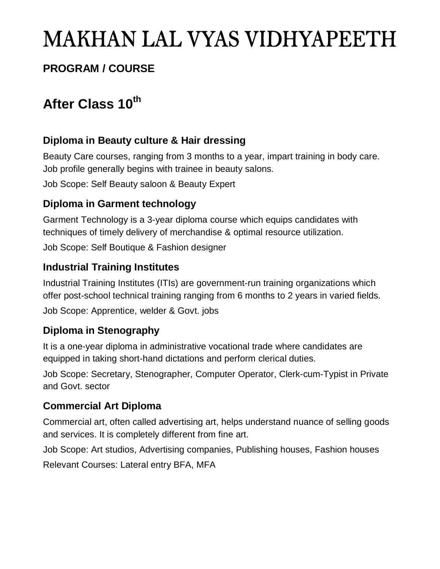# MAKHAN LAL VYAS VIDHYAPEETH

## **PROGRAM / COURSE**

# **After Class 10th**

## **Diploma in Beauty culture & Hair dressing**

Beauty Care courses, ranging from 3 months to a year, impart training in body care. Job profile generally begins with trainee in beauty salons.

Job Scope: Self Beauty saloon & Beauty Expert

## **Diploma in Garment technology**

Garment Technology is a 3-year diploma course which equips candidates with techniques of timely delivery of merchandise & optimal resource utilization.

Job Scope: Self Boutique & Fashion designer

## **Industrial Training Institutes**

Industrial Training Institutes (ITIs) are government-run training organizations which offer post-school technical training ranging from 6 months to 2 years in varied fields.

Job Scope: Apprentice, welder & Govt. jobs

## **Diploma in Stenography**

It is a one-year diploma in administrative vocational trade where candidates are equipped in taking short-hand dictations and perform clerical duties.

Job Scope: Secretary, Stenographer, Computer Operator, Clerk-cum-Typist in Private and Govt. sector

## **Commercial Art Diploma**

Commercial art, often called advertising art, helps understand nuance of selling goods and services. It is completely different from fine art.

Job Scope: Art studios, Advertising companies, Publishing houses, Fashion houses Relevant Courses: Lateral entry BFA, MFA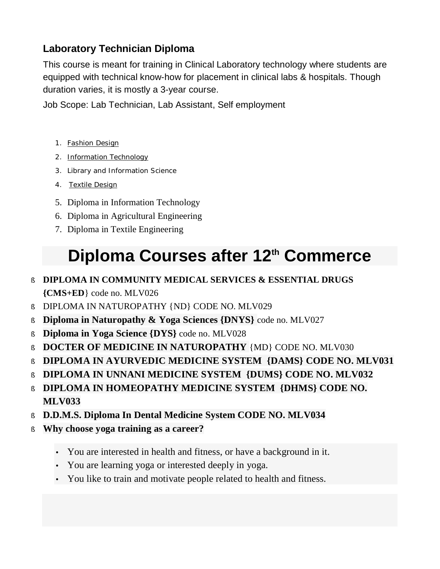## **Laboratory Technician Diploma**

This course is meant for training in Clinical Laboratory technology where students are equipped with technical know-how for placement in clinical labs & hospitals. Though duration varies, it is mostly a 3-year course.

Job Scope: Lab Technician, Lab Assistant, Self employment

- 1. Fashion Design
- 2. Information Technology
- 3. Library and Information Science
- 4. Textile Design
- 5. Diploma in Information Technology
- 6. Diploma in Agricultural Engineering
- 7. Diploma in Textile Engineering

# **Diploma Courses after 12th Commerce**

- § **DIPLOMA IN COMMUNITY MEDICAL SERVICES & ESSENTIAL DRUGS {CMS+ED**} code no. MLV026
- § DIPLOMA IN NATUROPATHY {ND} CODE NO. MLV029
- § **Diploma in Naturopathy & Yoga Sciences {DNYS}** code no. MLV027
- § **Diploma in Yoga Science {DYS}** code no. MLV028
- § **DOCTER OF MEDICINE IN NATUROPATHY** {MD} CODE NO. MLV030
- § **DIPLOMA IN AYURVEDIC MEDICINE SYSTEM {DAMS} CODE NO. MLV031**
- § **DIPLOMA IN UNNANI MEDICINE SYSTEM {DUMS} CODE NO. MLV032**
- § **DIPLOMA IN HOMEOPATHY MEDICINE SYSTEM {DHMS} CODE NO. MLV033**
- § **D.D.M.S. Diploma In Dental Medicine System CODE NO. MLV034**
- § **Why choose yoga training as a career?**
	- You are interested in health and fitness, or have a background in it.
	- You are learning yoga or interested deeply in yoga.
	- You like to train and motivate people related to health and fitness.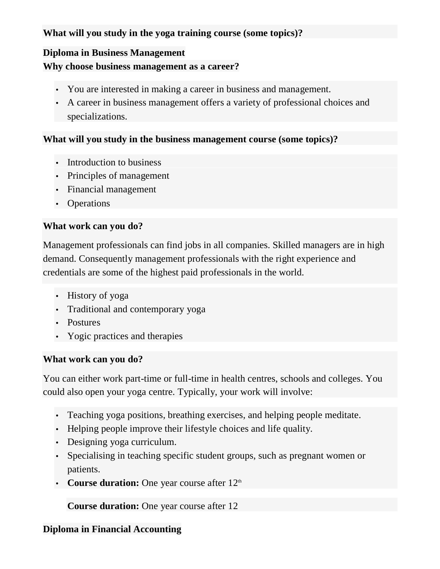## **What will you study in the yoga training course (some topics)?**

## **Diploma in Business Management**

## **Why choose business management as a career?**

- You are interested in making a career in business and management.
- A career in business management offers a variety of professional choices and specializations.

## **What will you study in the business management course (some topics)?**

- Introduction to business
- Principles of management
- Financial management
- Operations

## **What work can you do?**

Management professionals can find jobs in all companies. Skilled managers are in high demand. Consequently management professionals with the right experience and credentials are some of the highest paid professionals in the world.

- History of yoga
- Traditional and contemporary yoga
- Postures
- Yogic practices and therapies

## **What work can you do?**

You can either work part-time or full-time in health centres, schools and colleges. You could also open your yoga centre. Typically, your work will involve:

- Teaching yoga positions, breathing exercises, and helping people meditate.
- Helping people improve their lifestyle choices and life quality.  $\mathbb{Z}^{\mathbb{Z}}$
- Designing yoga curriculum.
- Specialising in teaching specific student groups, such as pregnant women or patients.
- **Course duration:** One year course after  $12<sup>th</sup>$

**Course duration:** One year course after 12

## **Diploma in Financial Accounting**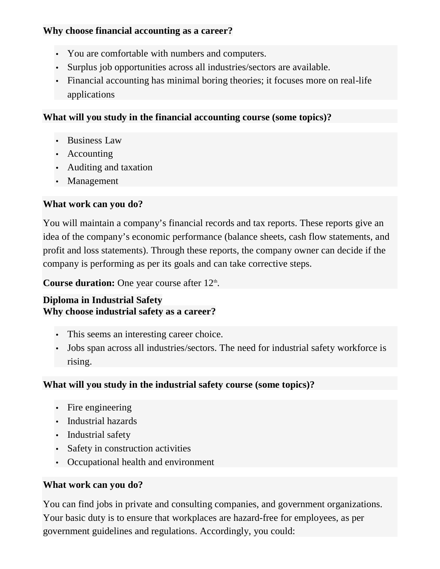## **Why choose financial accounting as a career?**

- You are comfortable with numbers and computers.
- Surplus job opportunities across all industries/sectors are available.
- Financial accounting has minimal boring theories; it focuses more on real-life applications

## **What will you study in the financial accounting course (some topics)?**

- Business Law
- Accounting
- Auditing and taxation
- Management

## **What work can you do?**

You will maintain a company's financial records and tax reports. These reports give an idea of the company's economic performance (balance sheets, cash flow statements, and profit and loss statements). Through these reports, the company owner can decide if the company is performing as per its goals and can take corrective steps.

**Course duration:** One year course after 12<sup>th</sup>.

## **Diploma in Industrial Safety Why choose industrial safety as a career?**

- This seems an interesting career choice.
- Jobs span across all industries/sectors. The need for industrial safety workforce is rising.

## **What will you study in the industrial safety course (some topics)?**

- Fire engineering
- Industrial hazards
- . Industrial safety
- Safety in construction activities
- Occupational health and environment

## **What work can you do?**

You can find jobs in private and consulting companies, and government organizations. Your basic duty is to ensure that workplaces are hazard-free for employees, as per government guidelines and regulations. Accordingly, you could: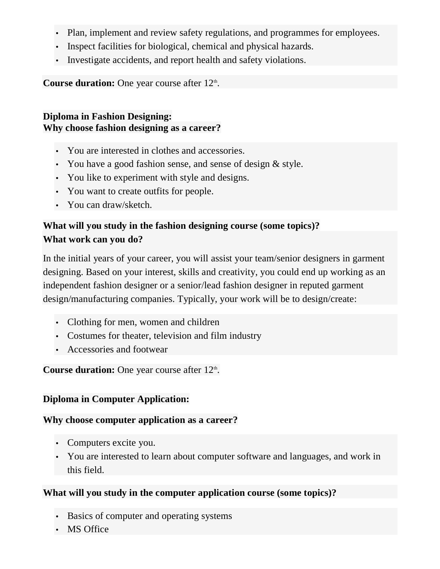- Plan, implement and review safety regulations, and programmes for employees.
- Inspect facilities for biological, chemical and physical hazards.
- Investigate accidents, and report health and safety violations.

**Course duration:** One year course after 12<sup>th</sup>.

**Diploma in Fashion Designing: Why choose fashion designing as a career?**

- You are interested in clothes and accessories.
- You have a good fashion sense, and sense of design & style.
- You like to experiment with style and designs.
- You want to create outfits for people.
- You can draw/sketch.

## **What will you study in the fashion designing course (some topics)? What work can you do?**

In the initial years of your career, you will assist your team/senior designers in garment designing. Based on your interest, skills and creativity, you could end up working as an independent fashion designer or a senior/lead fashion designer in reputed garment design/manufacturing companies. Typically, your work will be to design/create:

- Clothing for men, women and children
- Costumes for theater, television and film industry
- Accessories and footwear

**Course duration:** One year course after 12<sup>th</sup>.

## **Diploma in Computer Application:**

## **Why choose computer application as a career?**

- Computers excite you.
- You are interested to learn about computer software and languages, and work in this field.

## **What will you study in the computer application course (some topics)?**

- Basics of computer and operating systems
- . **MS Office**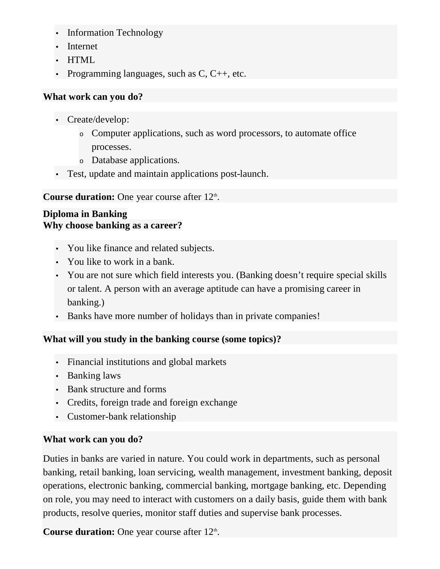- Information Technology
- . Internet
- HTML
- Programming languages, such as  $C, C++, etc.$

## **What work can you do?**

- Create/develop:
	- <sup>o</sup> Computer applications, such as word processors, to automate office processes.
	- <sup>o</sup> Database applications.
- Test, update and maintain applications post-launch.

**Course duration:** One year course after 12<sup>th</sup>.

## **Diploma in Banking Why choose banking as a career?**

- You like finance and related subjects.
- You like to work in a bank.
- You are not sure which field interests you. (Banking doesn't require special skills or talent. A person with an average aptitude can have a promising career in banking.)
- Banks have more number of holidays than in private companies!

## **What will you study in the banking course (some topics)?**

- Financial institutions and global markets
- Banking laws
- Bank structure and forms
- Credits, foreign trade and foreign exchange
- Customer-bank relationship

## **What work can you do?**

Duties in banks are varied in nature. You could work in departments, such as personal banking, retail banking, loan servicing, wealth management, investment banking, deposit operations, electronic banking, commercial banking, mortgage banking, etc. Depending on role, you may need to interact with customers on a daily basis, guide them with bank products, resolve queries, monitor staff duties and supervise bank processes.

Course duration: One year course after 12<sup>th</sup>.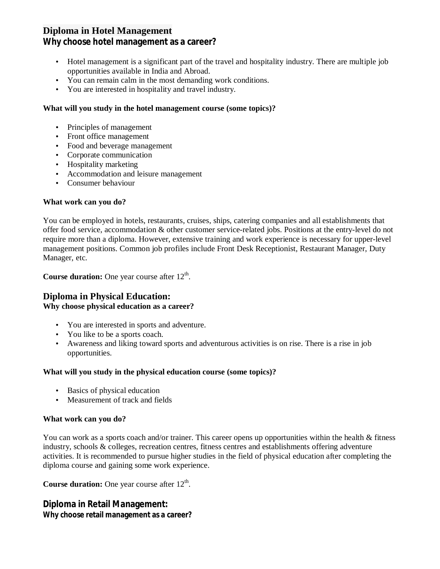## **Diploma in Hotel Management**

**Why choose hotel management as a career?**

- Hotel management is a significant part of the travel and hospitality industry. There are multiple job opportunities available in India and Abroad.
- You can remain calm in the most demanding work conditions.
- You are interested in hospitality and travel industry.

#### **What will you study in the hotel management course (some topics)?**

- Principles of management
- Front office management
- Food and beverage management
- Corporate communication
- Hospitality marketing
- Accommodation and leisure management
- Consumer behaviour  $\mathbf{r}^{\mathrm{max}}$

#### **What work can you do?**

You can be employed in hotels, restaurants, cruises, ships, catering companies and all establishments that offer food service, accommodation & other customer service-related jobs. Positions at the entry-level do not require more than a diploma. However, extensive training and work experience is necessary for upper-level management positions. Common job profiles include Front Desk Receptionist, Restaurant Manager, Duty Manager, etc.

**Course duration:** One year course after  $12<sup>th</sup>$ .

#### **Diploma in Physical Education: Why choose physical education as a career?**

- You are interested in sports and adventure.
- You like to be a sports coach.
- Awareness and liking toward sports and adventurous activities is on rise. There is a rise in job opportunities.

#### **What will you study in the physical education course (some topics)?**

- Basics of physical education
- Measurement of track and fields

#### **What work can you do?**

You can work as a sports coach and/or trainer. This career opens up opportunities within the health & fitness industry, schools & colleges, recreation centres, fitness centres and establishments offering adventure activities. It is recommended to pursue higher studies in the field of physical education after completing the diploma course and gaining some work experience.

**Course duration:** One year course after  $12<sup>th</sup>$ .

**Diploma in Retail Management: Why choose retail management as a career?**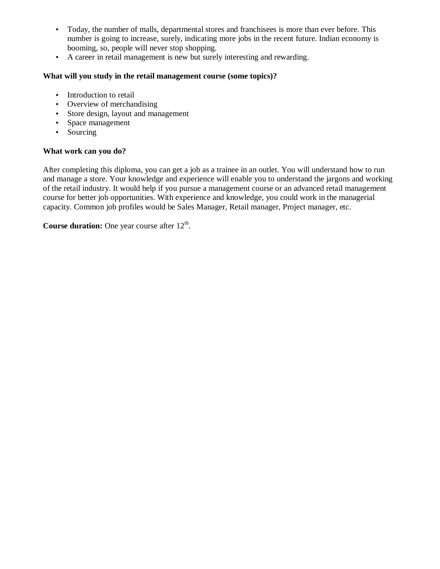- Ġ, Today, the number of malls, departmental stores and franchisees is more than ever before. This number is going to increase, surely, indicating more jobs in the recent future. Indian economy is booming, so, people will never stop shopping.
- A career in retail management is new but surely interesting and rewarding.  $\mathbb{R}^2$

#### **What will you study in the retail management course (some topics)?**

- $\mathcal{L}^{\text{max}}$ Introduction to retail
- Overview of merchandising  $\mathbf{r}^{\prime}$
- Store design, layout and management  $\epsilon$
- Space management  $\epsilon$
- Sourcing ä,

#### **What work can you do?**

After completing this diploma, you can get a job as a trainee in an outlet. You will understand how to run and manage a store. Your knowledge and experience will enable you to understand the jargons and working of the retail industry. It would help if you pursue a management course or an advanced retail management course for better job opportunities. With experience and knowledge, you could work in the managerial capacity. Common job profiles would be Sales Manager, Retail manager, Project manager, etc.

**Course duration:** One year course after  $12<sup>th</sup>$ .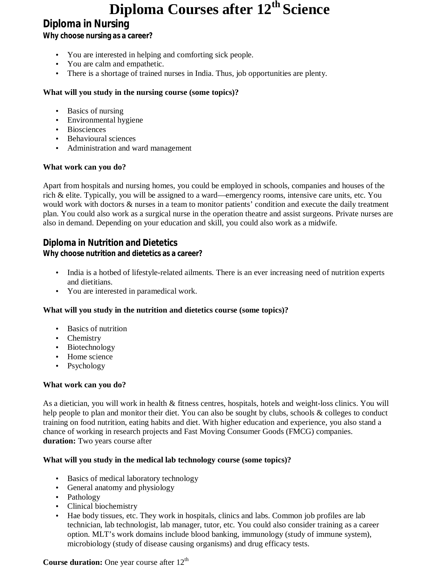## **Diploma Courses after 12th Science**

## **Diploma in Nursing**

**Why choose nursing as a career?**

- You are interested in helping and comforting sick people.
- You are calm and empathetic.
- There is a shortage of trained nurses in India. Thus, job opportunities are plenty.  $\mathbf{r} = \mathbf{r}$

#### **What will you study in the nursing course (some topics)?**

- Basics of nursing  $\mathbf{r} = \mathbf{r}$
- Environmental hygiene
- Biosciences
- Behavioural sciences
- Administration and ward management

#### **What work can you do?**

Apart from hospitals and nursing homes, you could be employed in schools, companies and houses of the rich & elite. Typically, you will be assigned to a ward—emergency rooms, intensive care units, etc. You would work with doctors & nurses in a team to monitor patients' condition and execute the daily treatment plan. You could also work as a surgical nurse in the operation theatre and assist surgeons. Private nurses are also in demand. Depending on your education and skill, you could also work as a midwife.

## **Diploma in Nutrition and Dietetics**

**Why choose nutrition and dietetics as a career?**

- India is a hotbed of lifestyle-related ailments. There is an ever increasing need of nutrition experts and dietitians.
- You are interested in paramedical work.  $\blacksquare$

#### **What will you study in the nutrition and dietetics course (some topics)?**

- $\mathcal{L}^{\text{max}}$ Basics of nutrition
- Chemistry
- Biotechnology
- Home science
- Psychology

#### **What work can you do?**

As a dietician, you will work in health & fitness centres, hospitals, hotels and weight-loss clinics. You will help people to plan and monitor their diet. You can also be sought by clubs, schools & colleges to conduct training on food nutrition, eating habits and diet. With higher education and experience, you also stand a chance of working in research projects and Fast Moving Consumer Goods (FMCG) companies. **duration:** Two years course after

#### **What will you study in the medical lab technology course (some topics)?**

- Basics of medical laboratory technology
- General anatomy and physiology
- Pathology
- Clinical biochemistry
- Hae body tissues, etc. They work in hospitals, clinics and labs. Common job profiles are lab technician, lab technologist, lab manager, tutor, etc. You could also consider training as a career option. MLT's work domains include blood banking, immunology (study of immune system), microbiology (study of disease causing organisms) and drug efficacy tests.

#### **Course duration:** One year course after 12<sup>th</sup>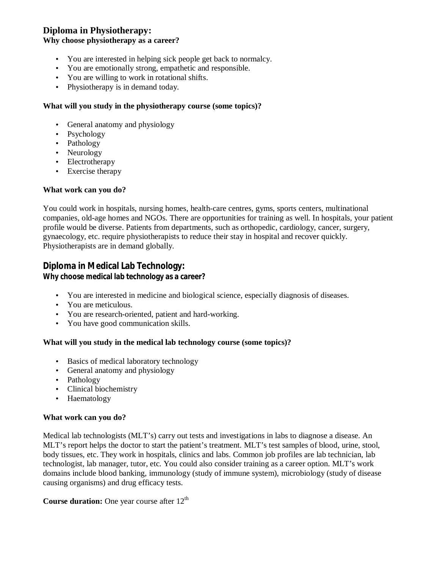#### **Diploma in Physiotherapy:**

#### **Why choose physiotherapy as a career?**

- You are interested in helping sick people get back to normalcy.
- You are emotionally strong, empathetic and responsible.
- You are willing to work in rotational shifts.
- Physiotherapy is in demand today. ¥,

#### **What will you study in the physiotherapy course (some topics)?**

- General anatomy and physiology  $\mathbf{r}^{\mathrm{max}}$
- Psychology
- Pathology
- Neurology
- Electrotherapy
- Exercise therapy  $\mathbf{r}$

#### **What work can you do?**

You could work in hospitals, nursing homes, health-care centres, gyms, sports centers, multinational companies, old-age homes and NGOs. There are opportunities for training as well. In hospitals, your patient profile would be diverse. Patients from departments, such as orthopedic, cardiology, cancer, surgery, gynaecology, etc. require physiotherapists to reduce their stay in hospital and recover quickly. Physiotherapists are in demand globally.

### **Diploma in Medical Lab Technology:**

**Why choose medical lab technology as a career?**

- t. You are interested in medicine and biological science, especially diagnosis of diseases.
- You are meticulous.
- You are research-oriented, patient and hard-working.
- You have good communication skills.

#### **What will you study in the medical lab technology course (some topics)?**

- Basics of medical laboratory technology
- General anatomy and physiology
- Pathology
- Clinical biochemistry
- Haematology

#### **What work can you do?**

Medical lab technologists (MLT's) carry out tests and investigations in labs to diagnose a disease. An MLT's report helps the doctor to start the patient's treatment. MLT's test samples of blood, urine, stool, body tissues, etc. They work in hospitals, clinics and labs. Common job profiles are lab technician, lab technologist, lab manager, tutor, etc. You could also consider training as a career option. MLT's work domains include blood banking, immunology (study of immune system), microbiology (study of disease causing organisms) and drug efficacy tests.

#### **Course duration:** One year course after 12<sup>th</sup>